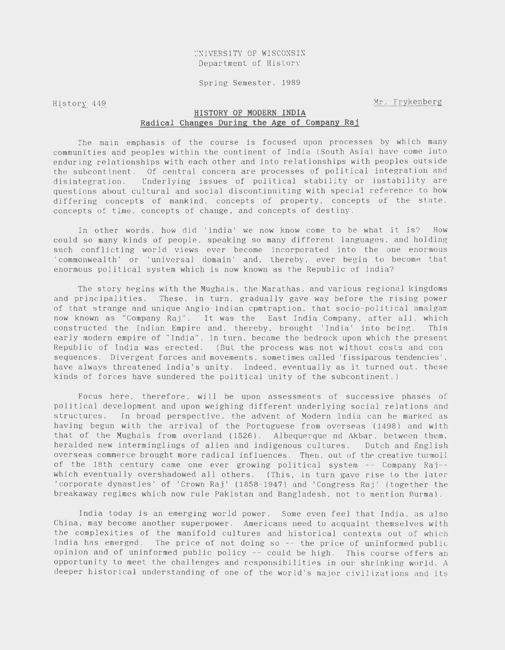UNIVERSITY OF WISCONSIN Department of History

Spring Semester, 1989

History 449

Mr. Frykenberg

# **HISTORY OF MODERN INDIA Radical Changes During the Age of Company Raj**

The main emphasis of the course is focused upon processes by which many communities and peoples within the continent of India (South Asia) have come into enduring relationships with each other and into relationships with peoples outside the subcontinent. Of central concern are processes of political integration and disintegration. Underlying issues of political stability or instability are questions about cultural and social discontinuiting with special reference to how differing concepts of mankind, concepts of property, concepts of the state, concepts of time, concepts of change, and concepts of destiny.

In other words, how did 'India' we now know come to be what it is? How could so many kinds of people, speaking so many different languages, and holding such conflicting world views ever become incorporated into the one enormous 'commonwealth' or 'universal domain' and, thereby, ever begin to become that enormous political system which is now known as the Republic of India?

The story begins with the Mughals, the Marathas, and various regional kingdoms and principalities. These, in turn, gradually gave way before the rising power of that strange and unique Anglo-Indian cpmtraption, that socio-political amalgam now known as "Company Raj". It was the East India Company, after all, which constructed the Indian Empire and, thereby, brought 'India' into being. This early modern empire of "India", in turn, became the bedrock upon which the present Republic of India was erected. (But the process was not without costs and consequences. Divergent forces and movements, sometimes called 'fissiparous tendencies', have always threatened India's unity. Indeed, eventually as it turned out, these kinds of forces have sundered the political unity of the subcontinent . )

Focus here, therefore, will be upon assessments of successive phases of political development and upon weighing different underlying social relations and structures. In broad perspective, the advent of Modern India can be marked as having begun with the arrival of the Portuguese from overseas (1498) and with that of the Mughals from overland (1526). Albequerque nd Akbar, between them, heralded new interminglings of alien and indigenous cultures. Dutch and English overseas commerce brought more radical influences. Then, out of the creative turmoil of the 18th century came one ever growing political system -- Company Raj- which eventually overshadowed all others. (This, in turn gave rise to the later 'corporate dynasties' of 'Crown Raj' (1858-1947) and 'Congress Raj' (together the breakaway regimes which now rule Pakistan and Bangladesh, not to mention Burma).

India today is an emerging world power. Some even feel that India, as also China, may become another superpower. Americans need to acquaint themselves with the complexities of the manifold cultures and historical contexts out of which India has emerged. The price of not doing so -- the price of uninformed public opinion and of uninformed public policy -- could be high. This course offers an opportunity to meet the challenges and responsibilities in our shrinking world . A deeper historical understanding of one of the world's major civilizations and its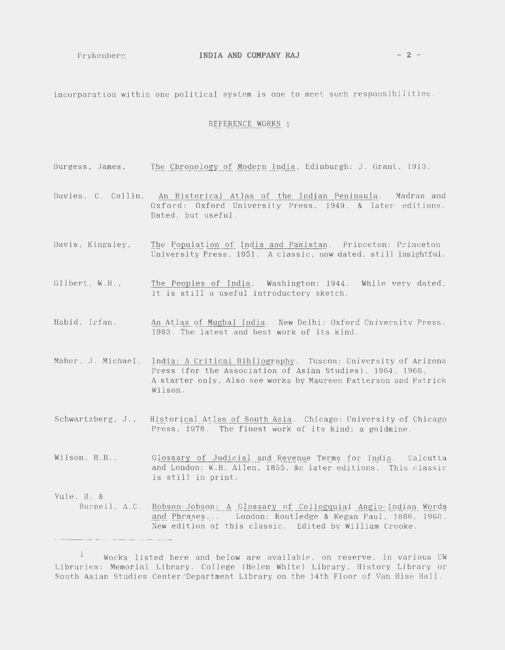incorporation within one political system is one to meet such responsibilities.

# REFERENCE WORKS 1

Burgess, James, The Chronology of Modern India, Edinburgh: J. Grant, 1913. Davies, C. Collin, An Historical Atlas of the Indian Peninsula. Madras and Oxford: Oxford University Press, 1949, & later editions. Dated, but useful. Davis, Kingsley, The Population of India and Pakistan. Princeton: Princeton University Press, 1951. A classic, now dated, still insightful. Gilbert, W.H., The Peoples of India. Washington: 1944. While very dated, it *is* still a useful introductory sketch. Habid, Irfan, An Atlas of Mughal India. New Delhi: Oxford University Press, 1983. The latest and best work of its kind. Maher, J. Michael, India: A Critical Bibliography. Tuscon: University of Arizona Press (for the Association of Asian Studies}, 1964, 1966. Schwartzberg, J., Wilson, H.H., Yule, H. & A starter only. Also see works by Maureen Patterson and Patrick Wilson. Historical Atlas of South Asia. Chicago: University of Chicago Press, 1978. The finest work of its kind; a goldmine. Glossary of Judicial and Revenue Terms for India. Calcutta and London: W.H. Allen, 1855, &c later editions. This classic is still in print. Burnell, A. C. Hobson-Jobson: A Glossary of Collogguial Anglo- Indian Words and Phrases... London: Routledge & Kegan Paul, 1886, 1968. New edition of this classic. Edited by William Crooke.

 $1$  Works listed here and below are available, on reserve, in various UW Libraries: Memorial Library, College (Helen White) Library, History Library or South Asian Studies Center/Department Library on the 14th Floor of Van Hise Hall.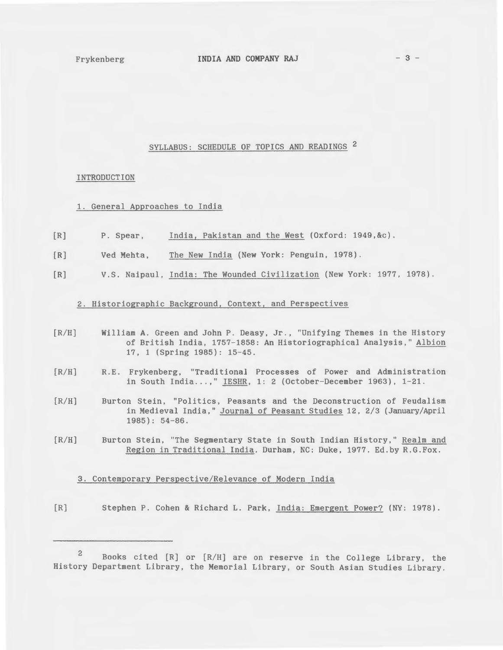# SYLLABUS: SCHEDULE OF TOPICS AND READINGS 2

# INTRODUCTION

- 1. General Approaches to India
- $[R]$ P. Spear, India, Pakistan and the West (Oxford: 1949,&c).
- $IR$ ] Ved Mehta, The New India (New York: Penguin, 1978).
- [R] V.S. Naipaul, India: The Wounded Civilization (New York: 1977, 1978).

# 2. Historiographic Background, Context, and Perspectives

- $[R/H]$ William A. Green and John P. Deasy, Jr., "Unifying Themes *in* the History of British India, 1757-1858: An Historiographical Analysis," Albion 17, 1 (Spring 1985): 15-45.
- $[R/H]$ R. E. Frykenberg, "Traditional Processes of Power and Administration in South India...," IESHR, 1: 2 (October-December 1963), 1-21.
- $[R/H]$ Burton Stein, "Politics, Peasants and the Deconstruction of Feudalism in Medieval India," Journal of Peasant Studies 12, 2/3 (January/April 1985): 54-86.
- $[R/H]$ Burton Stein, "The Segmentary State in South Indian History," Realm and Region in Traditional India. Durham, NC: Duke, 1977. Ed.by R.G.Fox.

#### 3. Contemporary Perspective/Relevance of Modern India

[R] Stephen P. Cohen & Richard L. Park, India: Emergent Power? (NY: 1978).

<sup>2</sup> Books cited [R] or [R/H] are on reserve in the College Library, the History Department Library, the Memorial Library, or South Asian Studies Library.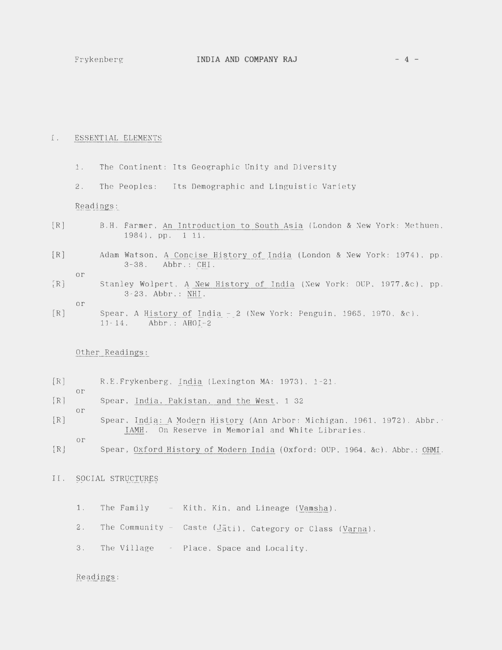# I. ESSENTIAL ELEMENTS

- 1. The Continent: Its Geographic Unity and Diversity
- 2. The Peoples: Its Demographic and Linguistic Variety

Readings:

- [R] B.H. Farmer, An Introduction to South Asia (London & New York: Methuen, 1984), pp. 1 11.
- [R] Adam Watson, A Concise History of India (London & New York: 1974), pp. 3-38. Abbr.: CHI.
- [R] Stanley Wolpert, A New History of India (New York: OUP, 1977,&c) , pp. 3-23. Abbr.: NHI.

or

or

or

or

[R] Spear, A History of India - 2 (New York: Penguin, 1965, 1970, &c). 11 - 14. Abbr.: AHOI-2

# Other Readings:

- [R] R.E.Frykenberg, India (Lexington MA: 1973}, 1-21.
- [R] Spear, India, Pakistan, and the West, 1-32
- or [R] Spear, India: A Modern History (Ann Arbor: Michigan, 1961, 1972) . Abbr. : IAMH. On Reserve in Memorial and White Libraries.
- 
- [R] Spear, Oxford History of Modern India (Oxford: OUP, 1964, &c). Abbr.: OHMI.

# II. SOCIAL STRUCTURES

- 1. The Family Kith, Kin, and Lineage (Vamsha).
- 2. The Community Caste  $(\underline{J}\bar{a}t\bar{i})$ , Category or Class (Varna).
- 3. The Village Place, Space and Locality.

# Readings :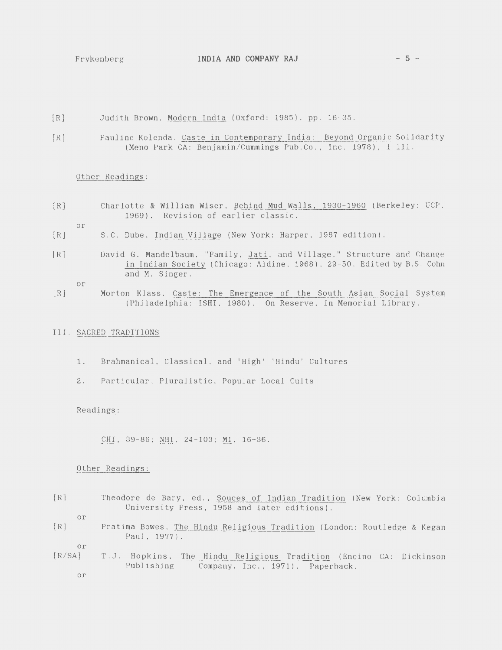- [R] Judith Brown, Modern India (Oxford: 1985), pp. 16- 35.
- [R] Pauline Kolenda, Caste in Contemporary India: Beyond Organic Solidarity (Meno Park CA: Benjamin/Cummings Pub.Co., Inc. 1978), 1 111.

#### Other Readings:

- [R] Charlotte & William Wiser, Behind Mud Walls, 1930-1960 (Berkeley: UCP, 1969). Revision of earlier classic.
	- or
- [R] S.C. Dube, Indian Village (New York: Harper, 1967 edition) .
- [R] David G. Mandelbaum, "Family, Jati, and Village," Structure and Change in Indian Society (Chicago: Aldine, 1968), 29-50. Edited by B.S. Cohn and M. Singer.

or

[R] Morton Klass, Caste: The Emergence of the South Asian Social System (Philadelphia: ISHI, 1980). On Reserve, in Memorial Library.

# III. SACRED TRADITIONS

- 1. Brahmanical, Classical, and 'High' 'Hindu' Cultures
- 2. Particular, Pluralistic, Popular Local Cults

Readings:

CHI, 39-86; NHI, 24-103; MI, 16-36.

#### Other Readings :

[R] Theodore de Bary, ed., Souces of Indian Tradition (New York: Columbia University Press, 1958 and later editions).

or

[R] Pratima Bowes, The Hindu Religious Tradition (London: Routledge & Kegan Paul, 1977) .

or

 $[R/SA]$ T.J. Hopkins, The Hindu Religious Tradition (Encino CA: Dickinson Publishing Company, Inc., 1971). Paperback.

or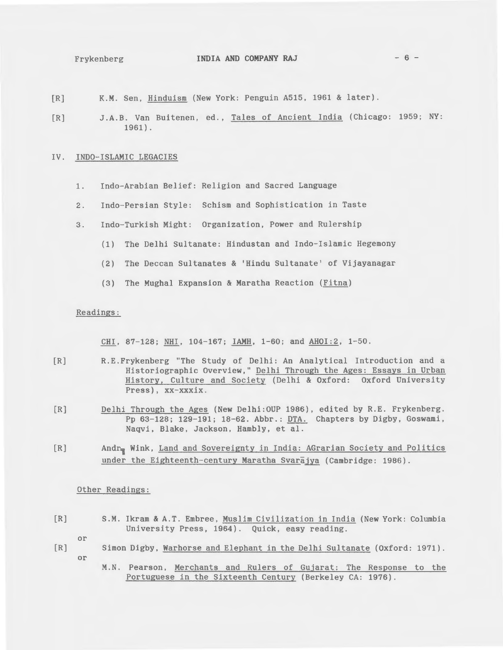# Frykenberg **INDIA AND COMPANY RAJ** - 6 -

- [R] K.M. Sen, Hinduism (New York: Penguin A515, 1961 & later).
- [R] J.A.B. Van Buitenen, ed., Tales of Ancient India (Chicago: 1959; NY: 1961).

# IV. INDO-ISLAMIC LEGACIES

- 1. Indo-Arabian Belief: Religion and Sacred Language
- 2. Indo-Persian Style: Schism and Sophistication in Taste
- 3. Indo-Turkish Might: Organization, Power and Rulership
	- (1) The Delhi Sultanate: Hindustan and Indo-Islamic Hegemony
	- (2) The Deccan Sultanates & 'Hindu Sultanate' of Vijayanagar
	- (3) The Mughal Expansion & Maratha Reaction (Fitna)

# Readings:

CHI, 87-128; NHI, 104-167; IAMH, 1-60; and AHOI:2, 1-50.

- [R] R. E. Frykenberg "The Study of Delhi: An Analytical Introduction and a Historiographic Overview," Delhi Through the Ages: Essays in Urban History, Culture and Society (Delhi & Oxford: Oxford University Press), xx-xxxix.
- [R] Delhi Through the Ages (New Delhi:OUP 1986), edited by R.E. Frykenberg. Pp 63-128; 129-191; 18-62. Abbr.: DTA. Chapters by Digby, Goswami, Naqvi, Blake, Jackson, Hambly, et al.
- [R] Andr<sub>n</sub> Wink, Land and Sovereignty in India: AGrarian Society and Politics under the Eighteenth-century Maratha Svarajya (Cambridge: 1986).

# Other Readings:

[R] S.M. Ikram & A.T. Embree, Muslim Civilization in India (New York: Columbia University Press, 1964). Quick, easy reading.

or

- [R] Simon Digby, Warhorse and Elephant in the Delhi Sultanate (Oxford: 1971). or
	- M.N. Pearson, Merchants and Rulers of Gujarat: The Response to the Portuguese in the Sixteenth Century (Berkeley CA: 1976).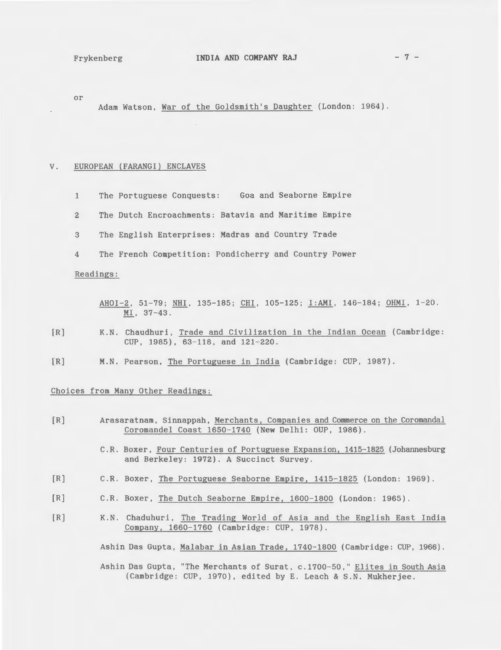or

Adam Watson, War of the Goldsmith's Daughter (London: 1964).

#### V. EUROPEAN (FARANGI) ENCLAVES

- 1 The Portuguese Conquests: Goa and Seaborne Empire
- 2 The Dutch Encroachments: Batavia and Maritime Empire
- 3 The English Enterprises: Madras and Country Trade
- 4 The French Competition: Pondicherry and Country Power

# Readings:

- AHOI-2, 51-79; NHI, 135-185; CHI, 105-125; I:AMI, 146-184; OHMI, 1-20. MI, 37-43.
- [R] K.N. Chaudhuri, Trade and Civilization in the Indian Ocean (Cambridge: CUP, 1985), 63-118, and 121-220.
- [R] M.N. Pearson, The Portuguese in India (Cambridge: CUP, 1987).

# Choices from Many Other Readings:

- [R] Arasaratnam, Sinnappah, Merchants, Companies and Commerce on the Coromandal Coromandel Coast 1650-1740 (New Delhi: OUP, 1986).
	- C.R. Boxer, Four Centuries of Portuguese Expansion, 1415-1825 (Johannesburg and Berkeley: 1972). A Succinct Survey.
- [R] C.R. Boxer, The Portuguese Seaborne Empire, 1415-1825 (London: 1969).
- [R] C.R. Boxer, The Dutch Seaborne Empire, 1600-1800 (London: 1965).
- [R] K.N. Chaduhuri, The Trading World of Asia and the English East India Company, 1660-1760 (Cambridge: CUP, 1978).

Ashin Das Gupta, Malabar in Asian Trade, 1740-1800 (Cambridge: CUP, 1966).

Ashin Das Gupta, "The Merchants of Surat, c .1700-50," Elites in South Asia (Cambridge: CUP, 1970), edited by E. Leach & S.N. Mukherjee.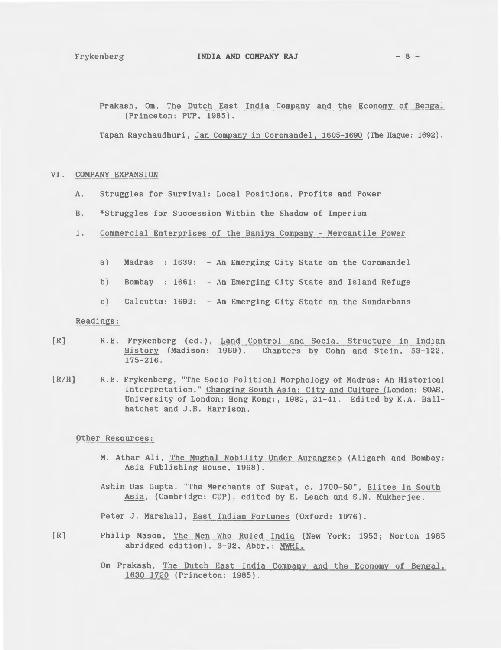### Frykenberg **INDIA AND COMPANY RAJ** - 8 -

Prakash, Om, The Dutch East India Company and the Economy of Bengal (Princeton: PUP, 1985).

Tapan Raychaudhuri, Jan Company in Coromandel, 1605-1690 {The Hague: 1692).

# VI. COMPANY EXPANSION

- A. Struggles for Survival: Local Positions, Profits and Power
- B. \*Struggles for Succession Within the Shadow of Imperium
- 1. Commercial Enterprises of the Baniya Company- Mercantile Power
	- a) Madras : 1639: An Emerging City State on the Coromandel
	- b) Bombay : 1661: An Emerging City State and Island Refuge
	- c) Calcutta: 1692: An Emerging City State on the Sundarbans

Readings:

- $[R]$ R.E. Frykenberg (ed.), Land Control and Social Structure in Indian History (Madison: 1969). Chapters by Cohn and Stein, 53-122, 175-216.
- $[R/H]$ R.E. Frykenberg, "The Socio-Political Morphology of Madras: An Historical Interpretation," Changing South Asia: City and Culture (London: SOAS, University of London; Hong Kong:, 1982, 21-41. Edited by K.A. Ballhatchet and J.B. Harrison.

Other Resources:

- M. Athar Ali, The Mughal Nobility Under Aurangzeb (Aligarh and Bombay: Asia Publishing House, 1968).
- Ashin Das Gupta, "The Merchants of Surat, c. 1700-50", Elites in South Asia, (Cambridge: CUP), edited by E. Leach and S.N. Mukherjee.

Peter J. Marshall, East Indian Fortunes (Oxford: 1976).

- [R] Philip Mason, The Men Who Ruled India (New York: 1953; Norton 1985 abridged edition), 3-92. Abbr.: MWRI.
	- Om Prakash, The Dutch East India Company and the Economy of Bengal, 1630-1720 (Princeton: 1985).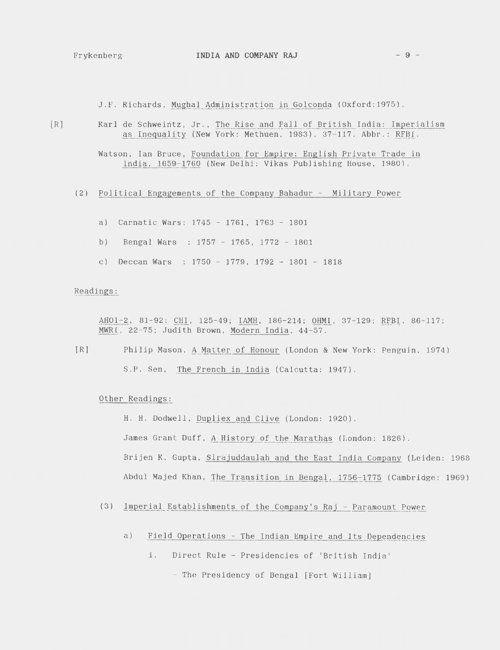J.F. Richards, Mughal Administration in Golconda (Oxford:1975).

[R] Karl de Schweintz, Jr., The Rise and Fall of British India: Imperialism as Inequality (New York: Methuen, 1983), 37-117. Abbr.: RFBI.

> Watson, Ian Bruce, Foundation for Empire: English Private Trade in India, 1659-1760 (New Delhi: Vikas Publishing House, 1980).

- (2) Political Engagements of the Company Bahadur Military Power
	- a) Carnatic Wars: 1745 1761, 1763 1801
	- b) Bengal Wars : 1757 1765, 1772 1801
	- c) Deccan Wars :  $1750 1779$ ,  $1792 1801 1818$

# Readings:

AHOI-2, 81-92; CHI, 125-49; IAMH, 186-214; OHMI, 37-129; RFBI, 86-117; MWRI, 22-75; Judith Brown, Modern India, 44-57.

[R] Philip Mason, A Matter of Honour (London & New York: Penguin, 1974) S .P. Sen, The French in India (Calcutta: 1947).

# Other Readings:

H. H. Dodwell, pupliex and Clive (London: 1920). James Grant Duff, A History of the Marathas (London: 1826). Brijen K. Gupta, Sirajuddaulah and the East India Company (Leiden: 1968 Abdul Majed Khan, The Transition in Bengal, 1756-1775 (Cambridge: 1969)

- (3) Imperial Establishments of the Company's Raj Paramount Power
	- a) Field Operations The Indian Empire and Its Dependencies
		- i. Direct Rule- Presidencies of 'British India'

- The Presidency of Bengal [Fort William]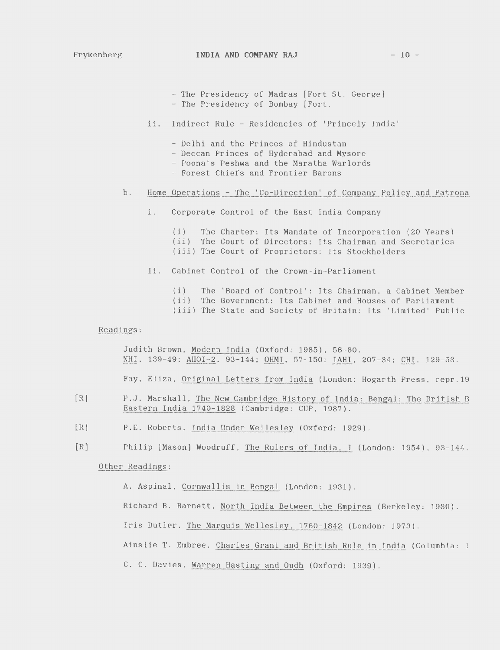- The Presidency of Madras [Fort St. George]
- The Presidency of Bombay [Fort.
- ii. Indirect Rule- Residencies of 'Princely India'
	- Delhi and the Princes of Hindustan
	- Deccan Princes of Hyderabad and Mysore
	- Poona's Peshwa and the Maratha Warlords
	- Forest Chiefs and Frontier Barons

# b. Home Operations - The 'Co-Direction' of Company Policy and Patrona

- i. Corporate Control of the East India Company
	- (i) The Charter: Its Mandate of Incorporation (20 Years) (ii) The Court of Directors: Its Chairman and Secretaries (iii) The Court of Proprietors: Its Stockholders
- ii. Cabinet Control of the Crown-in-Parliament
	- (i) The 'Board of Control': Its Chairman, a Cabinet Member (ii) The Government: Its Cabinet and Houses of Parliament
	- (iii) The State and Society of Britain: Its 'Limited' Public

# Readings:

Judith Brown, Modern India (Oxford: 1985), 56-80. NHI, 139-49; AHOI-2, 93-144; OHMI, 57-150; IAHI, 207-34; CHI, 129-58.

Fay, Eliza, Original Letters from India (London: Hogarth Press, repr.19

- [R] P.J. Marshall, The New Cambridge History of India: Bengal: The British B Eastern India 1740-1828 (Cambridge: CUP, 1987).
- [R] P.E. Roberts, India Under Wellesley (Oxford: 1929).
- [R] Philip [Mason] Woodruff, The Rulers of India, I (London: 1954), 93-144.

# Other Readings:

A. Aspinal, Cornwallis in Bengal (London: 1931).

Richard B. Barnett, North India Between the Empires (Berkeley: 1980).

Iris Butler, The Marquis Wellesley, 1760-1842 (London: 1973).

Ainslie T. Embree, Charles Grant and British Rule in India (Columbia: 1

C. C. Davies, Warren Hasting and Oudh (Oxford: 1939).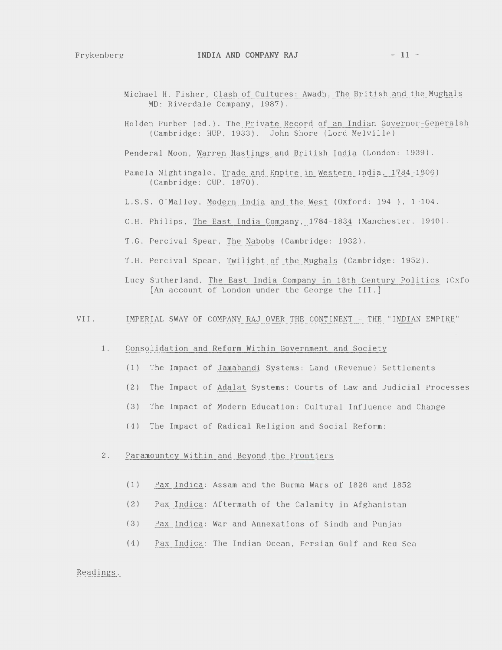- Michael H. Fisher, Clash of Cultures: Awadh, The British and the Mughals MD: Riverdale Company, 1987).
- Holden Furber (ed.), The Private Record of an Indian Governor-Generalsh (Cambridge: HUP, 1933). John Shore (Lord Melville).

Penderal Moon, Warren Hastings and British India (London: 1939).

- Pamela Nightingale, Trade and Empire in Western India, 1784-1806) (Cambridge: CUP, 1870).
- L.S.S. O'Malley, Modern India and the West (Oxford: 194 ), 1- 104.
- C.H. Philips, The East India Company, 1784-1834 (Manchester. 1940).
- T.G. Percival Spear, The Nabobs (Cambridge: 1932).
- T.H. Percival Spear, Twilight of the Mughals (Cambridge: 1952).
- Lucy Sutherland, The East India Company in 18th Century Politics (Oxfo [An account of London under the George the III.]

#### VII. IMPERIAL SWAY OF COMPANY RAJ OVER THE CONTINENT - THE "INDIAN EMPIRE"

- 1. Consolidation and Reform Within Government and Society
	- (1) The Impact of Jamabandi Systems: Land (Revenue) Settlements
	- (2) The Impact of Adalat Systems: Courts of Law and Judicial Processes
	- (3) The Impact of Modern Education: Cultural Influence and Change
	- (4) The Impact of Radical Religion and Social Reform:

# 2. Paramountcy Within and Beyond the Frontiers

- (1) Pax Indica: Assam and the Burma Wars of 1826 and 1852
- (2) Pax Indica: Aftermath of the Calamity in Afghanistan
- (3) Pax Indica: War and Annexations of Sindh and Punjab
- (4) Pax Indica: The Indian Ocean, Persian Gulf and Red Sea

### Readings: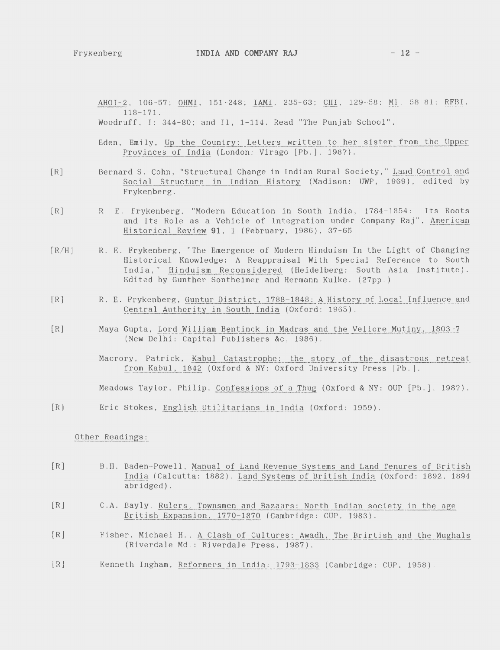AHOI-2, 106-57; OHMI, 151-248; IAMI, 235-63; CHI, 129-58; MI, 58-81; RFBI, 118-171. Woodruff, I: 344-80; and I1, 1-114. Read "The Punjab School".

Eden, Emily, Up the Country: Letters written to her sister from the Upper Provinces of India (London: Virago [Pb.], 198?).

- $[R]$ Bernard S. Cohn, "Structural Change in Indian Rural Society," Land Control and Social Structure in Indian History (Madison: UWP, 1969), edited by Frykenberg.
- [R] R. E. Frykenberg, "Modern Education in South India, 1784-1854: Its Roots and Its Role as a Vehicle of Integration under Company Raj", American Historical Review **91 ,** 1 (February, 1986), 37-65
- $[R/H]$ R. E. Frykenberg, "The Emergence of Modern Hinduism In the Light of Changing Historical Knowledge: A Reappraisal With Special Reference to South India," Hinduism Reconsidered (Heidelberg: South Asia Institute). Edited by Gunther Sontheimer and Hermann Kulke. (27pp.)
- $[R]$ R. E. Frykenberg, Guntur District, 1788-1848: A History of Local Influence and Central Authority in South India (Oxford: 1965).
- $[R]$ Maya Gupta, Lord William Bentinck in Madras and the Vellore Mutiny, 1803-7 (New Delhi: Capital Publishers &c, 1986).

Macrory, Patrick, Kabul Catastrophe: the story of the disastrous retreat from Kabul, 1842 (Oxford & NY: Oxford University Press [Pb.].

Meadows Taylor, Philip, Confessions of a Thug (Oxford & NY: OUP [Pb.], 198?).

[R] Eric Stokes, English Utilitarians in India (Oxford: 1959).

# Other Readings:

- [R] B.H. Baden-Powell, Manual of Land Revenue Systems and Land Tenures of British India (Calcutta: 1882). Land Systems of British India (Oxford: 1892, 1894 abridged).
- [R] C.A. Bayly, Rulers, Townsmen and Bazaars: North Indian society in the age British Expansion, 1770-1870 (Cambridge: CUP, 1983).
- [R] Fisher, Michael H., A Clash of Cultures: Awadh, The Brirtish and the Mughals (Riverdale Md.: Riverdale Press, 1987).
- [R] Kenneth Ingham, Reformers in India: 1793- 1833 (Cambridge: CUP, 1958).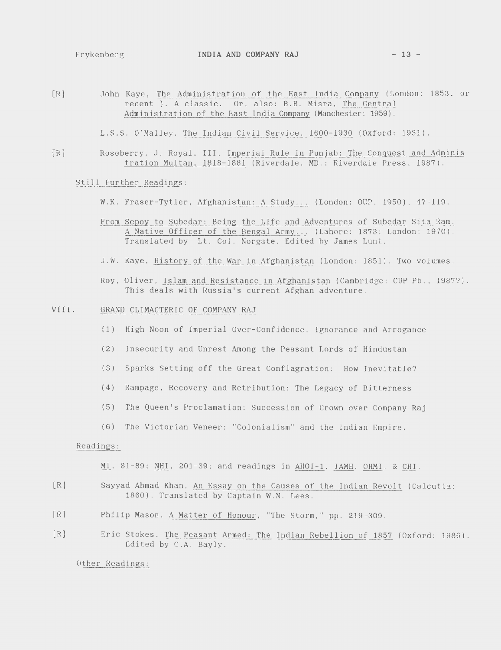[R] John Kaye, The Administration of the East India Company (London: 1853, or recent ). A classic. Or, also: B.B. Misra, The Central Administration of the East India Company (Manchester: 1959).

L.S.S. O'Malley, The Indian Civil Service, 1600-1930 (Oxford: 1931).

[R] Roseberry, J. Royal, III, Imperial Rule in Punjab: The Conquest and Administration Multan, 1818-1881 (Riverdale, MD.: Riverdale Press, 1987).

# Still Further Readings:

- W.K. Fraser-Tytler, Afghanistan: A Study ... (London: OUP, 1950), 47-119.
- From Sepoy to Subedar: Being the Life and Adventures of Subedar Sita Ram, A Native Officer of the Bengal Army ... (Lahore: 1873; London: 1970). Translated by Lt. Col. Norgate. Edited by James Lunt.
- J.W. Kaye, History of the War in Afghanistan (London: 1851). Two volumes.
- Roy, Oliver, Islam and Resistance in Afghanistan (Cambridge: CUP Pb., 1987?). This deals with Russia's current Afghan adventure.
- VIII. GRAND CLIMACTERIC OF COMPANY RAJ
	- (1) High Noon of Imperial Over-Confidence, Ignorance and Arrogance
	- (2) Insecurity and Unrest Among the Peasant Lords of Hindustan
	- (3) Sparks Setting off the Great Conflagration: How Inevitable?
	- (4) Rampage, Recovery and Retribution: The Legacy of Bitterness
	- (5) The Queen's Proclamation: Succession of Crown over Company Raj
	- (6) The Victorian Veneer: "Colonialism'' and the Indian Empire.

### Readings:

MI, 81-89; NHI, 201-39; and readings in AHOI-1, IAMH, OHM!, & CHI.

- [R] Sayyad Ahmad Khan, An Essay on the Causes of the Indian Revolt (Calcutta: 1860). Translated by Captain W.N. Lees.
- [R] Philip Mason, A Matter of Honour, "The Storm," pp. 219-309.
- [R] Eric Stokes, The Peasant Armed: The Indian Rebellion of 1857 (Oxford: 1986). Edited by C.A. Bayly.

Other Readings: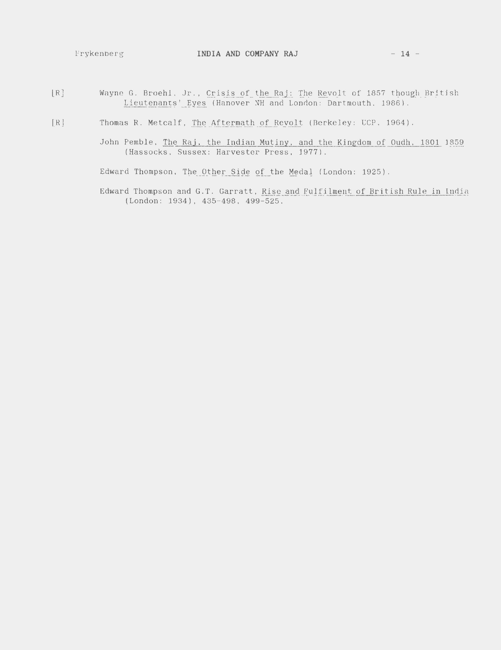- [R] Wayne G. Broehl, Jr., Crisis of the Raj: The Revolt of 1857 though British Lieutenants' Eyes (Hanover NH and London: Dartmouth, 1986).
- [R] Thomas R. Metcalf, The Aftermath of Revolt (Berkeley: UCP, 1964).
	- John Pemble, The Raj, the Indian Mutiny, and the Kingdom of Oudh, 1801 1859 (Hassocks, Sussex: Harvester Press, 1977).

Edward Thompson, The Other Side of the Medal (London: 1925).

Edward Thompson and G.T. Garratt, Rise and Fulfilment of British Rule in India (London: 1934), 435-498, 499-525.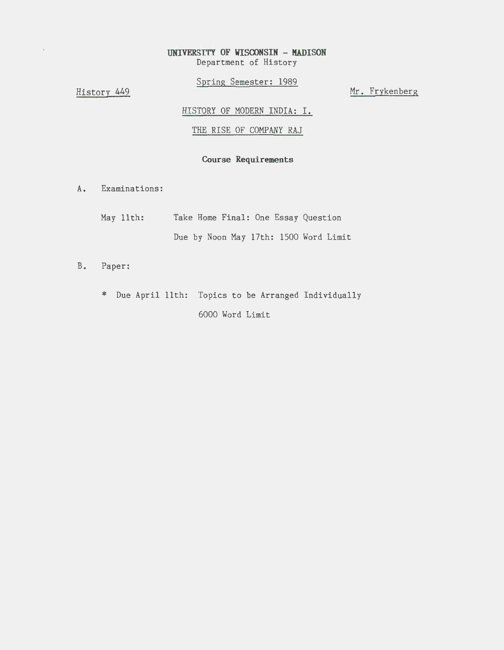# **UNIVERSITY OF WISOONSIN - MADISON**  Department of History

Spring Semester: 1989

History 449

Mr. Frykenberg

HISTORY OF MODERN INDIA: I.

THE RISE OF COMPANY RAJ

# **Course Requirements**

A. Examinations:

| May 11th: |  |  | Take Home Final: One Essay Question |                                       |
|-----------|--|--|-------------------------------------|---------------------------------------|
|           |  |  |                                     | Due by Noon May 17th: 1500 Word Limit |

- B. Paper:
	- \* Due April 11th: Topics to be Arranged Individually 6000 Word Limit